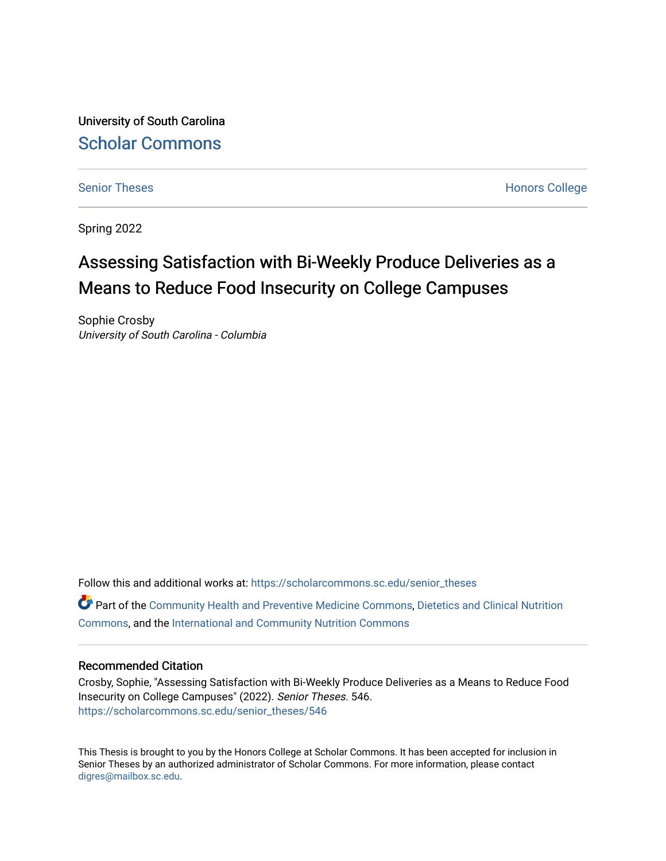University of South Carolina [Scholar Commons](https://scholarcommons.sc.edu/) 

[Senior Theses](https://scholarcommons.sc.edu/senior_theses) **Honors College** [Honors College](https://scholarcommons.sc.edu/honors_college) **Honors College** 

Spring 2022

# Assessing Satisfaction with Bi-Weekly Produce Deliveries as a Means to Reduce Food Insecurity on College Campuses

Sophie Crosby University of South Carolina - Columbia

Follow this and additional works at: [https://scholarcommons.sc.edu/senior\\_theses](https://scholarcommons.sc.edu/senior_theses?utm_source=scholarcommons.sc.edu%2Fsenior_theses%2F546&utm_medium=PDF&utm_campaign=PDFCoverPages)  Part of the [Community Health and Preventive Medicine Commons](http://network.bepress.com/hgg/discipline/744?utm_source=scholarcommons.sc.edu%2Fsenior_theses%2F546&utm_medium=PDF&utm_campaign=PDFCoverPages), [Dietetics and Clinical Nutrition](http://network.bepress.com/hgg/discipline/662?utm_source=scholarcommons.sc.edu%2Fsenior_theses%2F546&utm_medium=PDF&utm_campaign=PDFCoverPages)  [Commons](http://network.bepress.com/hgg/discipline/662?utm_source=scholarcommons.sc.edu%2Fsenior_theses%2F546&utm_medium=PDF&utm_campaign=PDFCoverPages), and the [International and Community Nutrition Commons](http://network.bepress.com/hgg/discipline/98?utm_source=scholarcommons.sc.edu%2Fsenior_theses%2F546&utm_medium=PDF&utm_campaign=PDFCoverPages) 

### Recommended Citation

Crosby, Sophie, "Assessing Satisfaction with Bi-Weekly Produce Deliveries as a Means to Reduce Food Insecurity on College Campuses" (2022). Senior Theses. 546. [https://scholarcommons.sc.edu/senior\\_theses/546](https://scholarcommons.sc.edu/senior_theses/546?utm_source=scholarcommons.sc.edu%2Fsenior_theses%2F546&utm_medium=PDF&utm_campaign=PDFCoverPages) 

This Thesis is brought to you by the Honors College at Scholar Commons. It has been accepted for inclusion in Senior Theses by an authorized administrator of Scholar Commons. For more information, please contact [digres@mailbox.sc.edu](mailto:digres@mailbox.sc.edu).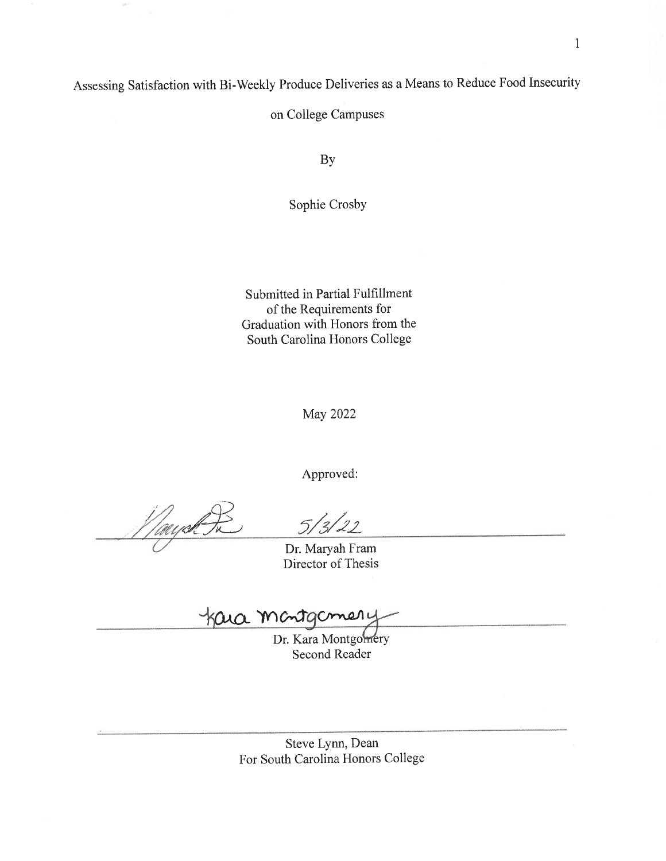Assessing Satisfaction with Bi-Weekly Produce Deliveries as a Means to Reduce Food Insecurity

on College Campuses

By

Sophie Crosby

Submitted in Partial Fulfillment of the Requirements for Graduation with Honors from the South Carolina Honors College

**May 2022** 

Approved:

Tayah

Dr. Maryah Fram Director of Thesis

Kara manta meri

Dr. Kara Montgomery **Second Reader** 

Steve Lynn, Dean For South Carolina Honors College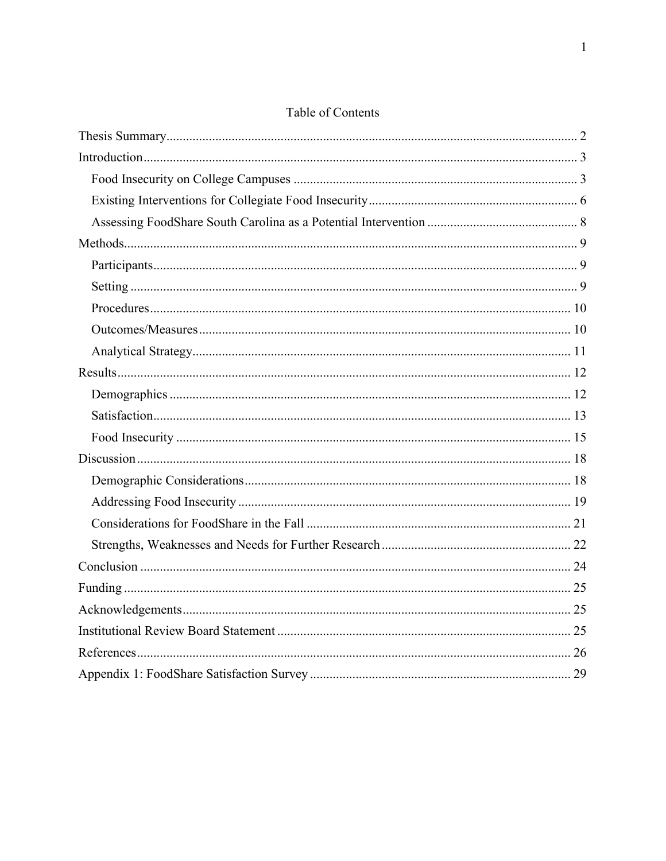# Table of Contents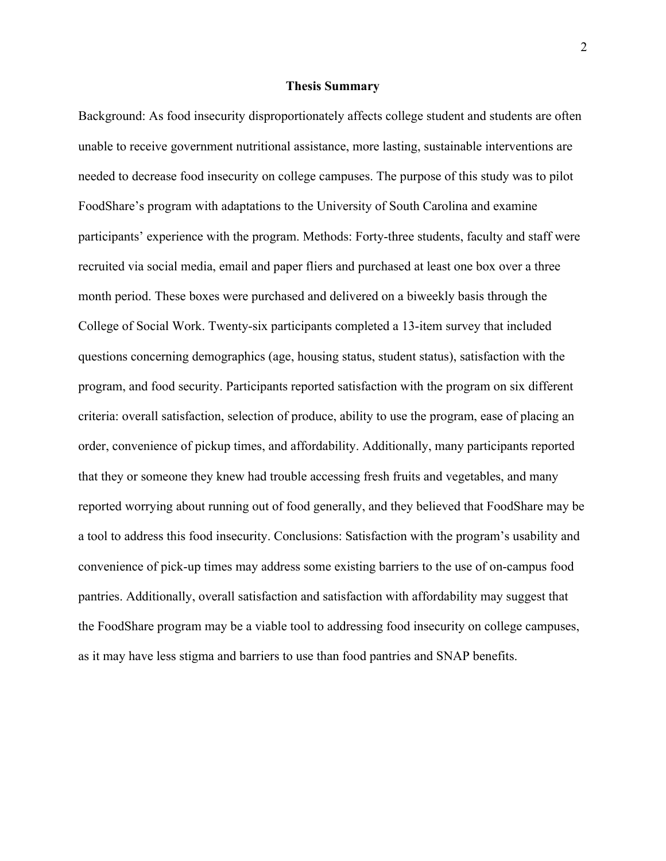#### **Thesis Summary**

Background: As food insecurity disproportionately affects college student and students are often unable to receive government nutritional assistance, more lasting, sustainable interventions are needed to decrease food insecurity on college campuses. The purpose of this study was to pilot FoodShare's program with adaptations to the University of South Carolina and examine participants' experience with the program. Methods: Forty-three students, faculty and staff were recruited via social media, email and paper fliers and purchased at least one box over a three month period. These boxes were purchased and delivered on a biweekly basis through the College of Social Work. Twenty-six participants completed a 13-item survey that included questions concerning demographics (age, housing status, student status), satisfaction with the program, and food security. Participants reported satisfaction with the program on six different criteria: overall satisfaction, selection of produce, ability to use the program, ease of placing an order, convenience of pickup times, and affordability. Additionally, many participants reported that they or someone they knew had trouble accessing fresh fruits and vegetables, and many reported worrying about running out of food generally, and they believed that FoodShare may be a tool to address this food insecurity. Conclusions: Satisfaction with the program's usability and convenience of pick-up times may address some existing barriers to the use of on-campus food pantries. Additionally, overall satisfaction and satisfaction with affordability may suggest that the FoodShare program may be a viable tool to addressing food insecurity on college campuses, as it may have less stigma and barriers to use than food pantries and SNAP benefits.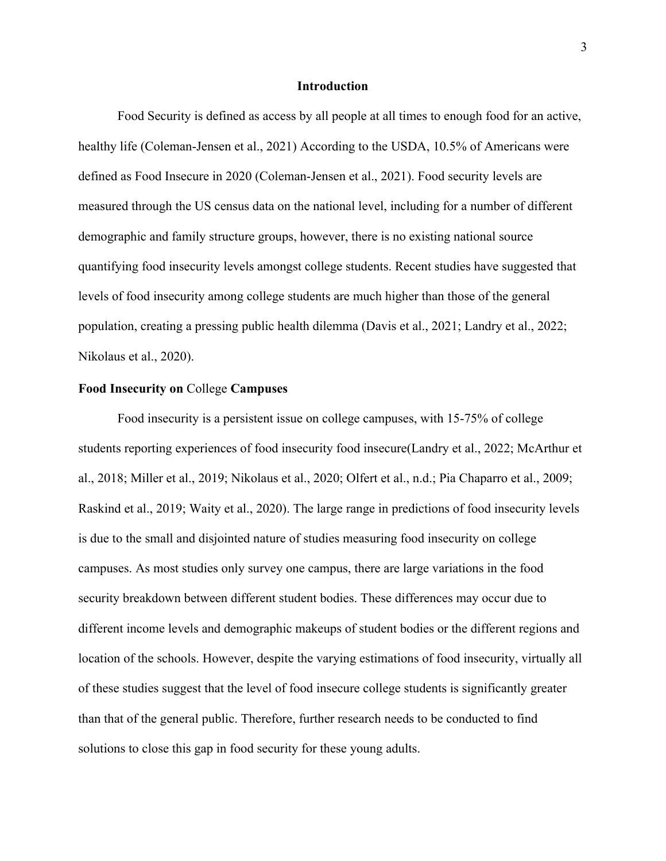### **Introduction**

Food Security is defined as access by all people at all times to enough food for an active, healthy life (Coleman-Jensen et al., 2021) According to the USDA, 10.5% of Americans were defined as Food Insecure in 2020 (Coleman-Jensen et al., 2021). Food security levels are measured through the US census data on the national level, including for a number of different demographic and family structure groups, however, there is no existing national source quantifying food insecurity levels amongst college students. Recent studies have suggested that levels of food insecurity among college students are much higher than those of the general population, creating a pressing public health dilemma (Davis et al., 2021; Landry et al., 2022; Nikolaus et al., 2020).

### **Food Insecurity on** College **Campuses**

Food insecurity is a persistent issue on college campuses, with 15-75% of college students reporting experiences of food insecurity food insecure(Landry et al., 2022; McArthur et al., 2018; Miller et al., 2019; Nikolaus et al., 2020; Olfert et al., n.d.; Pia Chaparro et al., 2009; Raskind et al., 2019; Waity et al., 2020). The large range in predictions of food insecurity levels is due to the small and disjointed nature of studies measuring food insecurity on college campuses. As most studies only survey one campus, there are large variations in the food security breakdown between different student bodies. These differences may occur due to different income levels and demographic makeups of student bodies or the different regions and location of the schools. However, despite the varying estimations of food insecurity, virtually all of these studies suggest that the level of food insecure college students is significantly greater than that of the general public. Therefore, further research needs to be conducted to find solutions to close this gap in food security for these young adults.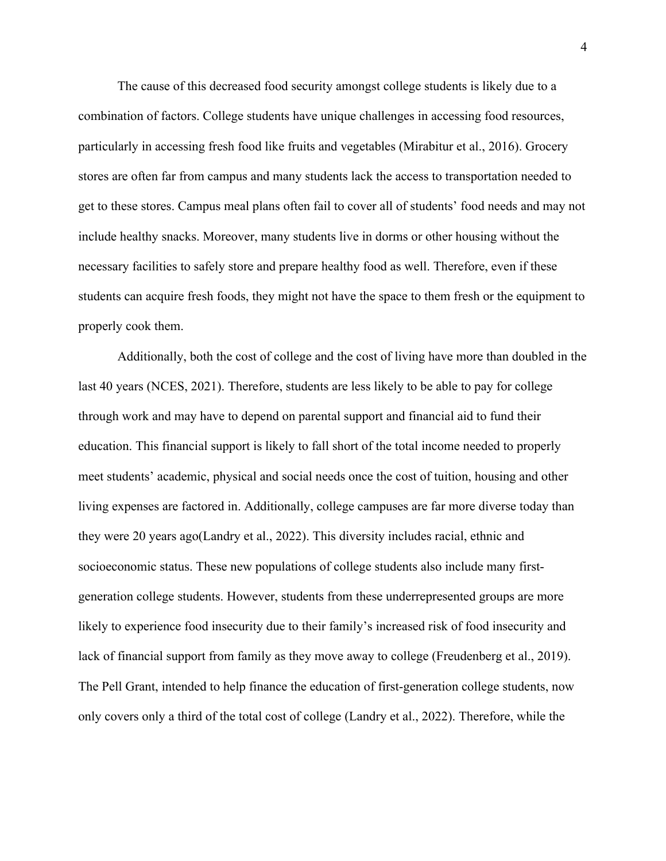The cause of this decreased food security amongst college students is likely due to a combination of factors. College students have unique challenges in accessing food resources, particularly in accessing fresh food like fruits and vegetables (Mirabitur et al., 2016). Grocery stores are often far from campus and many students lack the access to transportation needed to get to these stores. Campus meal plans often fail to cover all of students' food needs and may not include healthy snacks. Moreover, many students live in dorms or other housing without the necessary facilities to safely store and prepare healthy food as well. Therefore, even if these students can acquire fresh foods, they might not have the space to them fresh or the equipment to properly cook them.

Additionally, both the cost of college and the cost of living have more than doubled in the last 40 years (NCES, 2021). Therefore, students are less likely to be able to pay for college through work and may have to depend on parental support and financial aid to fund their education. This financial support is likely to fall short of the total income needed to properly meet students' academic, physical and social needs once the cost of tuition, housing and other living expenses are factored in. Additionally, college campuses are far more diverse today than they were 20 years ago(Landry et al., 2022). This diversity includes racial, ethnic and socioeconomic status. These new populations of college students also include many firstgeneration college students. However, students from these underrepresented groups are more likely to experience food insecurity due to their family's increased risk of food insecurity and lack of financial support from family as they move away to college (Freudenberg et al., 2019). The Pell Grant, intended to help finance the education of first-generation college students, now only covers only a third of the total cost of college (Landry et al., 2022). Therefore, while the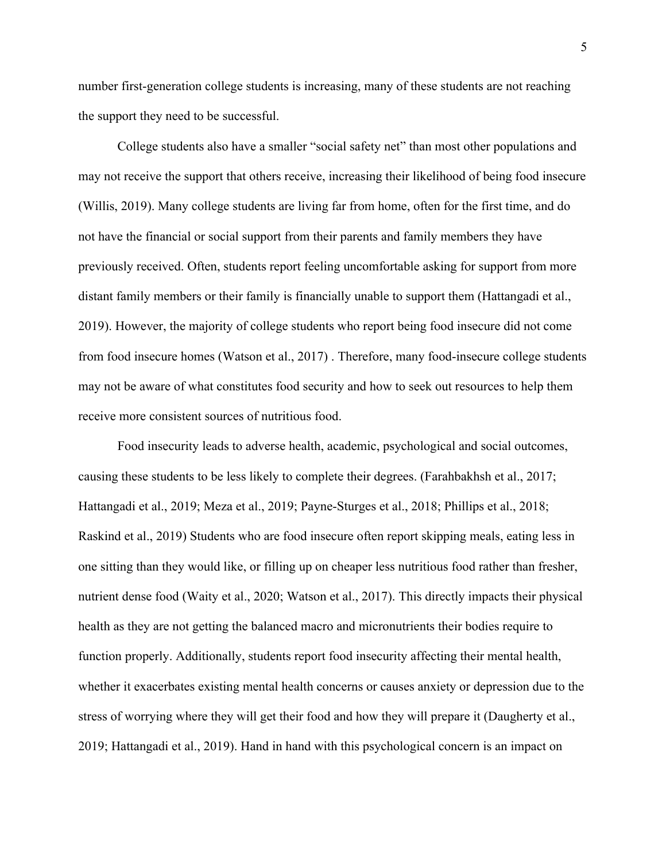number first-generation college students is increasing, many of these students are not reaching the support they need to be successful.

College students also have a smaller "social safety net" than most other populations and may not receive the support that others receive, increasing their likelihood of being food insecure (Willis, 2019). Many college students are living far from home, often for the first time, and do not have the financial or social support from their parents and family members they have previously received. Often, students report feeling uncomfortable asking for support from more distant family members or their family is financially unable to support them (Hattangadi et al., 2019). However, the majority of college students who report being food insecure did not come from food insecure homes (Watson et al., 2017) . Therefore, many food-insecure college students may not be aware of what constitutes food security and how to seek out resources to help them receive more consistent sources of nutritious food.

Food insecurity leads to adverse health, academic, psychological and social outcomes, causing these students to be less likely to complete their degrees. (Farahbakhsh et al., 2017; Hattangadi et al., 2019; Meza et al., 2019; Payne-Sturges et al., 2018; Phillips et al., 2018; Raskind et al., 2019) Students who are food insecure often report skipping meals, eating less in one sitting than they would like, or filling up on cheaper less nutritious food rather than fresher, nutrient dense food (Waity et al., 2020; Watson et al., 2017). This directly impacts their physical health as they are not getting the balanced macro and micronutrients their bodies require to function properly. Additionally, students report food insecurity affecting their mental health, whether it exacerbates existing mental health concerns or causes anxiety or depression due to the stress of worrying where they will get their food and how they will prepare it (Daugherty et al., 2019; Hattangadi et al., 2019). Hand in hand with this psychological concern is an impact on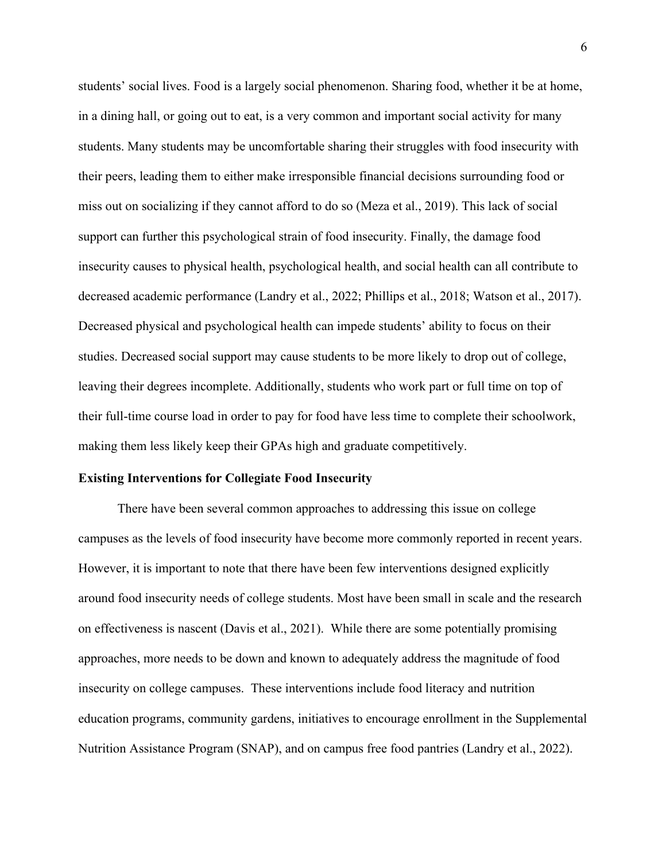students' social lives. Food is a largely social phenomenon. Sharing food, whether it be at home, in a dining hall, or going out to eat, is a very common and important social activity for many students. Many students may be uncomfortable sharing their struggles with food insecurity with their peers, leading them to either make irresponsible financial decisions surrounding food or miss out on socializing if they cannot afford to do so (Meza et al., 2019). This lack of social support can further this psychological strain of food insecurity. Finally, the damage food insecurity causes to physical health, psychological health, and social health can all contribute to decreased academic performance (Landry et al., 2022; Phillips et al., 2018; Watson et al., 2017). Decreased physical and psychological health can impede students' ability to focus on their studies. Decreased social support may cause students to be more likely to drop out of college, leaving their degrees incomplete. Additionally, students who work part or full time on top of their full-time course load in order to pay for food have less time to complete their schoolwork, making them less likely keep their GPAs high and graduate competitively.

### **Existing Interventions for Collegiate Food Insecurity**

There have been several common approaches to addressing this issue on college campuses as the levels of food insecurity have become more commonly reported in recent years. However, it is important to note that there have been few interventions designed explicitly around food insecurity needs of college students. Most have been small in scale and the research on effectiveness is nascent (Davis et al., 2021). While there are some potentially promising approaches, more needs to be down and known to adequately address the magnitude of food insecurity on college campuses. These interventions include food literacy and nutrition education programs, community gardens, initiatives to encourage enrollment in the Supplemental Nutrition Assistance Program (SNAP), and on campus free food pantries (Landry et al., 2022).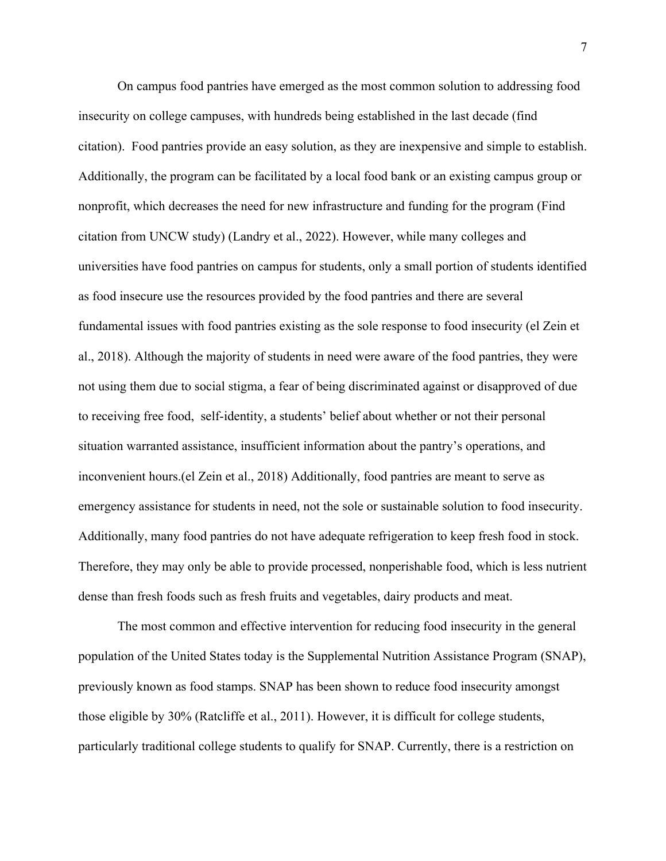On campus food pantries have emerged as the most common solution to addressing food insecurity on college campuses, with hundreds being established in the last decade (find citation). Food pantries provide an easy solution, as they are inexpensive and simple to establish. Additionally, the program can be facilitated by a local food bank or an existing campus group or nonprofit, which decreases the need for new infrastructure and funding for the program (Find citation from UNCW study) (Landry et al., 2022). However, while many colleges and universities have food pantries on campus for students, only a small portion of students identified as food insecure use the resources provided by the food pantries and there are several fundamental issues with food pantries existing as the sole response to food insecurity (el Zein et al., 2018). Although the majority of students in need were aware of the food pantries, they were not using them due to social stigma, a fear of being discriminated against or disapproved of due to receiving free food, self-identity, a students' belief about whether or not their personal situation warranted assistance, insufficient information about the pantry's operations, and inconvenient hours.(el Zein et al., 2018) Additionally, food pantries are meant to serve as emergency assistance for students in need, not the sole or sustainable solution to food insecurity. Additionally, many food pantries do not have adequate refrigeration to keep fresh food in stock. Therefore, they may only be able to provide processed, nonperishable food, which is less nutrient dense than fresh foods such as fresh fruits and vegetables, dairy products and meat.

The most common and effective intervention for reducing food insecurity in the general population of the United States today is the Supplemental Nutrition Assistance Program (SNAP), previously known as food stamps. SNAP has been shown to reduce food insecurity amongst those eligible by 30% (Ratcliffe et al., 2011). However, it is difficult for college students, particularly traditional college students to qualify for SNAP. Currently, there is a restriction on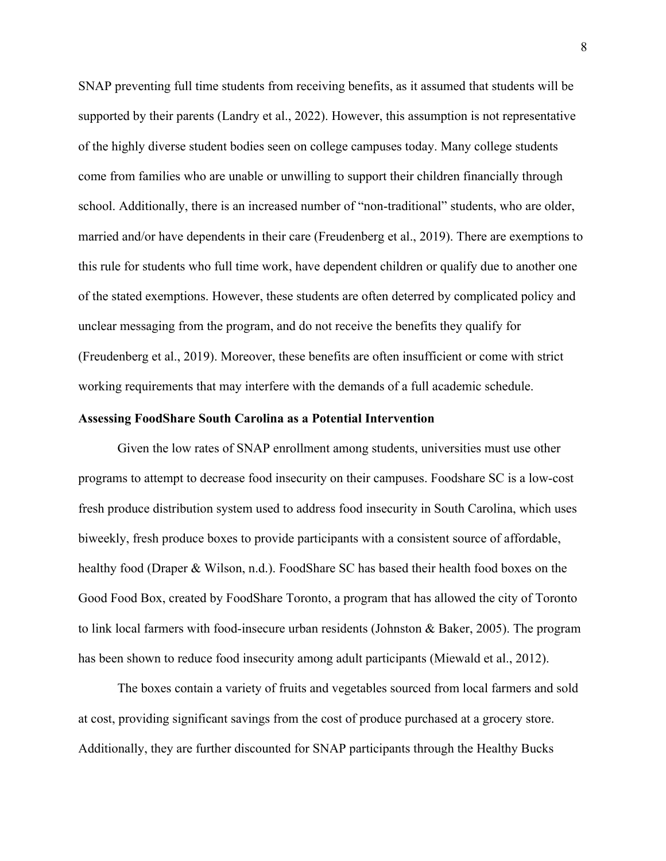SNAP preventing full time students from receiving benefits, as it assumed that students will be supported by their parents (Landry et al., 2022). However, this assumption is not representative of the highly diverse student bodies seen on college campuses today. Many college students come from families who are unable or unwilling to support their children financially through school. Additionally, there is an increased number of "non-traditional" students, who are older, married and/or have dependents in their care (Freudenberg et al., 2019). There are exemptions to this rule for students who full time work, have dependent children or qualify due to another one of the stated exemptions. However, these students are often deterred by complicated policy and unclear messaging from the program, and do not receive the benefits they qualify for (Freudenberg et al., 2019). Moreover, these benefits are often insufficient or come with strict working requirements that may interfere with the demands of a full academic schedule.

### **Assessing FoodShare South Carolina as a Potential Intervention**

Given the low rates of SNAP enrollment among students, universities must use other programs to attempt to decrease food insecurity on their campuses. Foodshare SC is a low-cost fresh produce distribution system used to address food insecurity in South Carolina, which uses biweekly, fresh produce boxes to provide participants with a consistent source of affordable, healthy food (Draper & Wilson, n.d.). FoodShare SC has based their health food boxes on the Good Food Box, created by FoodShare Toronto, a program that has allowed the city of Toronto to link local farmers with food-insecure urban residents (Johnston & Baker, 2005). The program has been shown to reduce food insecurity among adult participants (Miewald et al., 2012).

The boxes contain a variety of fruits and vegetables sourced from local farmers and sold at cost, providing significant savings from the cost of produce purchased at a grocery store. Additionally, they are further discounted for SNAP participants through the Healthy Bucks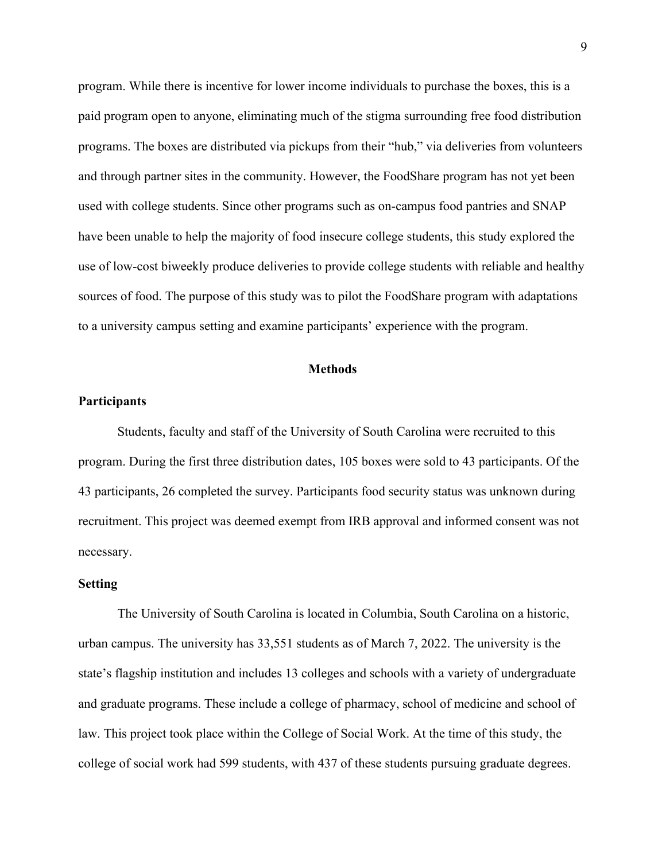program. While there is incentive for lower income individuals to purchase the boxes, this is a paid program open to anyone, eliminating much of the stigma surrounding free food distribution programs. The boxes are distributed via pickups from their "hub," via deliveries from volunteers and through partner sites in the community. However, the FoodShare program has not yet been used with college students. Since other programs such as on-campus food pantries and SNAP have been unable to help the majority of food insecure college students, this study explored the use of low-cost biweekly produce deliveries to provide college students with reliable and healthy sources of food. The purpose of this study was to pilot the FoodShare program with adaptations to a university campus setting and examine participants' experience with the program.

#### **Methods**

### **Participants**

Students, faculty and staff of the University of South Carolina were recruited to this program. During the first three distribution dates, 105 boxes were sold to 43 participants. Of the 43 participants, 26 completed the survey. Participants food security status was unknown during recruitment. This project was deemed exempt from IRB approval and informed consent was not necessary.

### **Setting**

 The University of South Carolina is located in Columbia, South Carolina on a historic, urban campus. The university has 33,551 students as of March 7, 2022. The university is the state's flagship institution and includes 13 colleges and schools with a variety of undergraduate and graduate programs. These include a college of pharmacy, school of medicine and school of law. This project took place within the College of Social Work. At the time of this study, the college of social work had 599 students, with 437 of these students pursuing graduate degrees.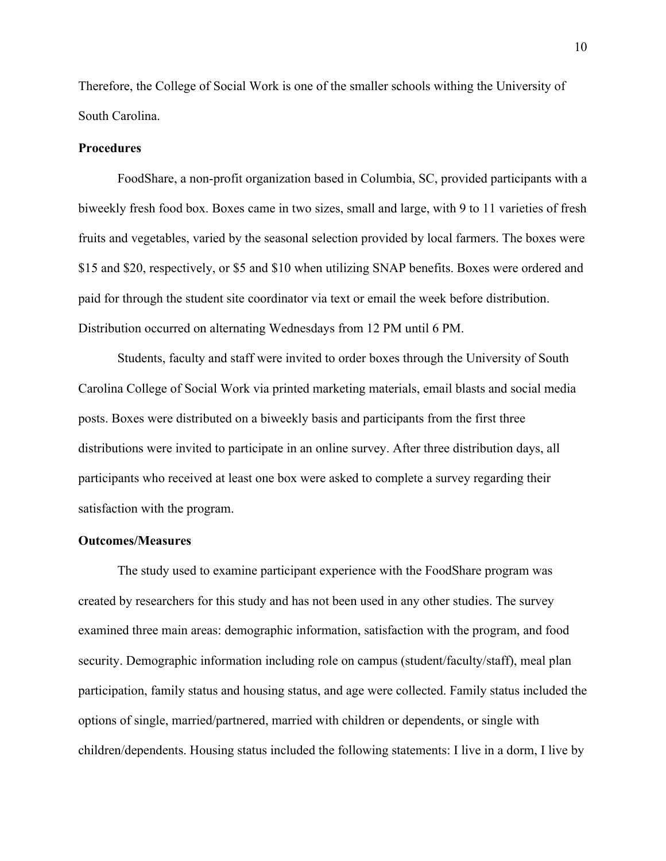Therefore, the College of Social Work is one of the smaller schools withing the University of South Carolina.

### **Procedures**

FoodShare, a non-profit organization based in Columbia, SC, provided participants with a biweekly fresh food box. Boxes came in two sizes, small and large, with 9 to 11 varieties of fresh fruits and vegetables, varied by the seasonal selection provided by local farmers. The boxes were \$15 and \$20, respectively, or \$5 and \$10 when utilizing SNAP benefits. Boxes were ordered and paid for through the student site coordinator via text or email the week before distribution. Distribution occurred on alternating Wednesdays from 12 PM until 6 PM.

Students, faculty and staff were invited to order boxes through the University of South Carolina College of Social Work via printed marketing materials, email blasts and social media posts. Boxes were distributed on a biweekly basis and participants from the first three distributions were invited to participate in an online survey. After three distribution days, all participants who received at least one box were asked to complete a survey regarding their satisfaction with the program.

### **Outcomes/Measures**

The study used to examine participant experience with the FoodShare program was created by researchers for this study and has not been used in any other studies. The survey examined three main areas: demographic information, satisfaction with the program, and food security. Demographic information including role on campus (student/faculty/staff), meal plan participation, family status and housing status, and age were collected. Family status included the options of single, married/partnered, married with children or dependents, or single with children/dependents. Housing status included the following statements: I live in a dorm, I live by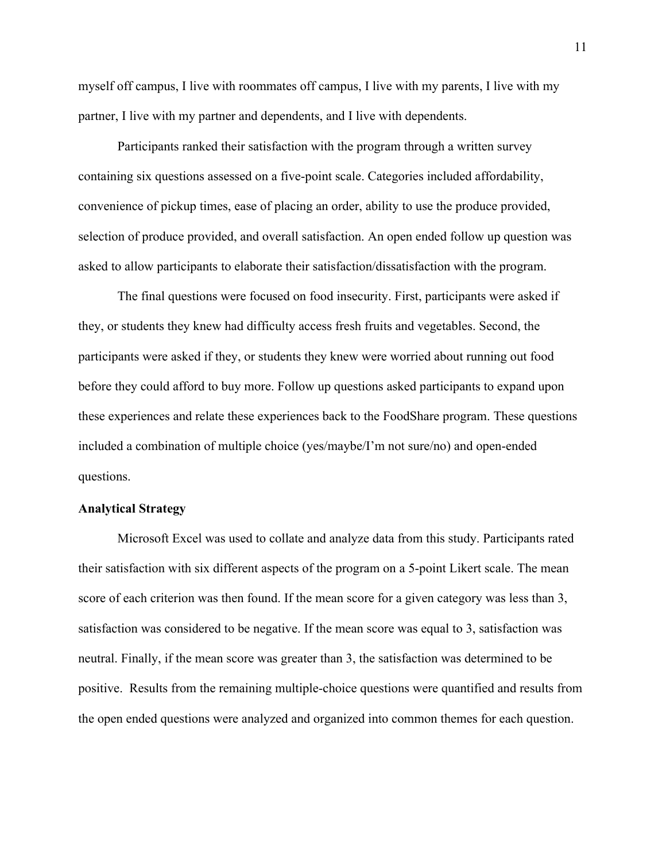myself off campus, I live with roommates off campus, I live with my parents, I live with my partner, I live with my partner and dependents, and I live with dependents.

Participants ranked their satisfaction with the program through a written survey containing six questions assessed on a five-point scale. Categories included affordability, convenience of pickup times, ease of placing an order, ability to use the produce provided, selection of produce provided, and overall satisfaction. An open ended follow up question was asked to allow participants to elaborate their satisfaction/dissatisfaction with the program.

The final questions were focused on food insecurity. First, participants were asked if they, or students they knew had difficulty access fresh fruits and vegetables. Second, the participants were asked if they, or students they knew were worried about running out food before they could afford to buy more. Follow up questions asked participants to expand upon these experiences and relate these experiences back to the FoodShare program. These questions included a combination of multiple choice (yes/maybe/I'm not sure/no) and open-ended questions.

### **Analytical Strategy**

Microsoft Excel was used to collate and analyze data from this study. Participants rated their satisfaction with six different aspects of the program on a 5-point Likert scale. The mean score of each criterion was then found. If the mean score for a given category was less than 3, satisfaction was considered to be negative. If the mean score was equal to 3, satisfaction was neutral. Finally, if the mean score was greater than 3, the satisfaction was determined to be positive. Results from the remaining multiple-choice questions were quantified and results from the open ended questions were analyzed and organized into common themes for each question.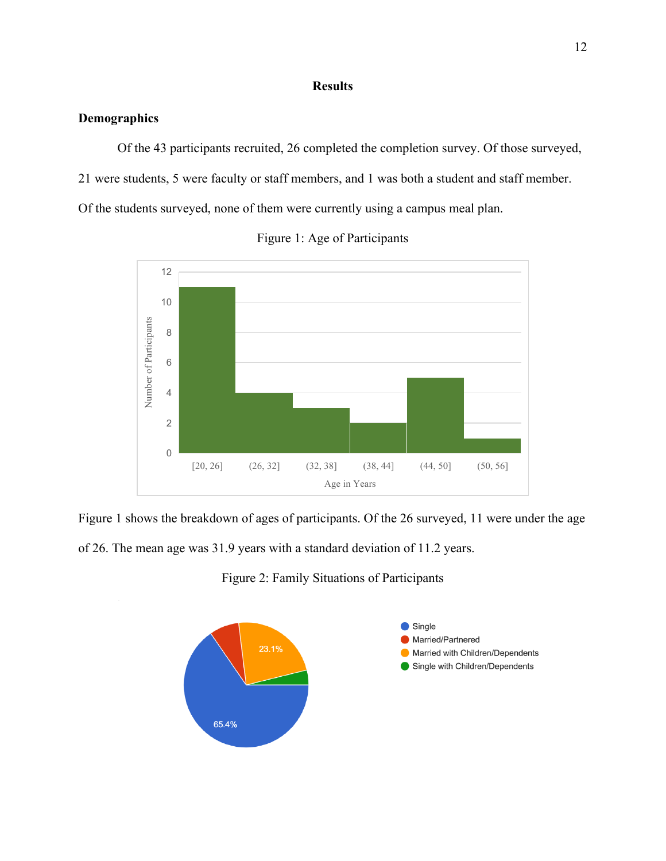### **Results**

### **Demographics**

Of the 43 participants recruited, 26 completed the completion survey. Of those surveyed, 21 were students, 5 were faculty or staff members, and 1 was both a student and staff member. Of the students surveyed, none of them were currently using a campus meal plan.





Figure 1 shows the breakdown of ages of participants. Of the 26 surveyed, 11 were under the age of 26. The mean age was 31.9 years with a standard deviation of 11.2 years.

Figure 2: Family Situations of Participants

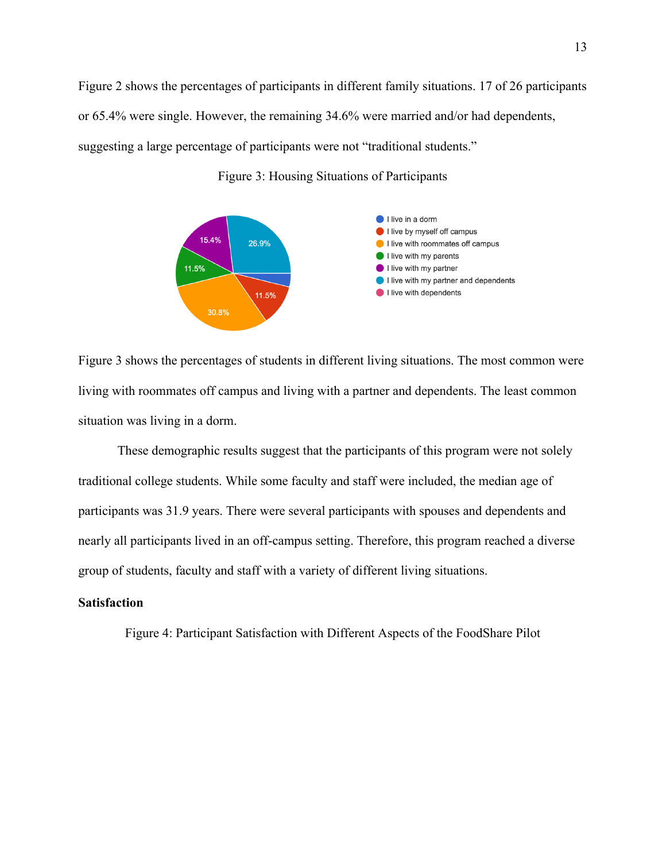Figure 2 shows the percentages of participants in different family situations. 17 of 26 participants or 65.4% were single. However, the remaining 34.6% were married and/or had dependents, suggesting a large percentage of participants were not "traditional students."



Figure 3: Housing Situations of Participants

Figure 3 shows the percentages of students in different living situations. The most common were living with roommates off campus and living with a partner and dependents. The least common situation was living in a dorm.

 These demographic results suggest that the participants of this program were not solely traditional college students. While some faculty and staff were included, the median age of participants was 31.9 years. There were several participants with spouses and dependents and nearly all participants lived in an off-campus setting. Therefore, this program reached a diverse group of students, faculty and staff with a variety of different living situations.

#### **Satisfaction**

Figure 4: Participant Satisfaction with Different Aspects of the FoodShare Pilot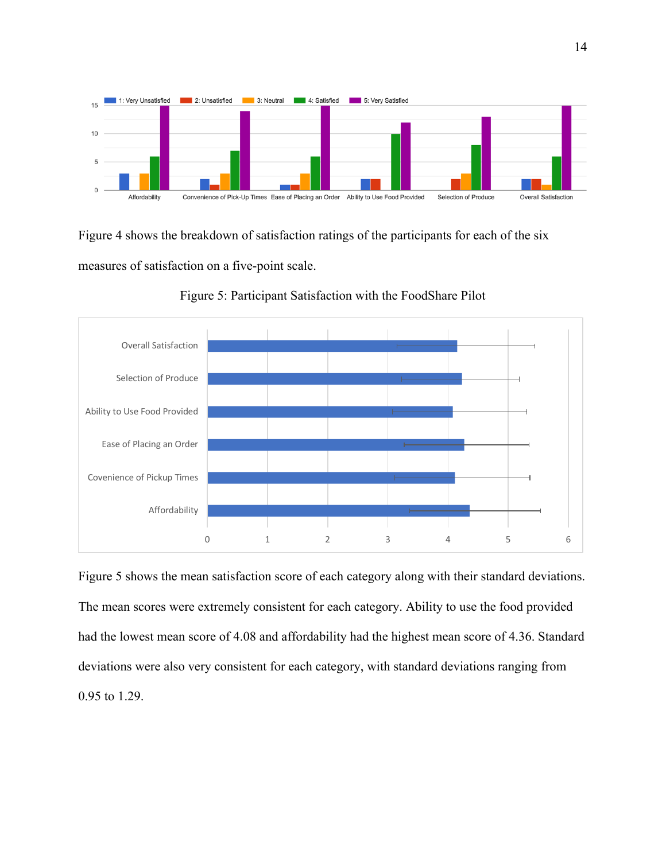

Figure 4 shows the breakdown of satisfaction ratings of the participants for each of the six measures of satisfaction on a five-point scale.



Figure 5: Participant Satisfaction with the FoodShare Pilot

Figure 5 shows the mean satisfaction score of each category along with their standard deviations. The mean scores were extremely consistent for each category. Ability to use the food provided had the lowest mean score of 4.08 and affordability had the highest mean score of 4.36. Standard deviations were also very consistent for each category, with standard deviations ranging from 0.95 to 1.29.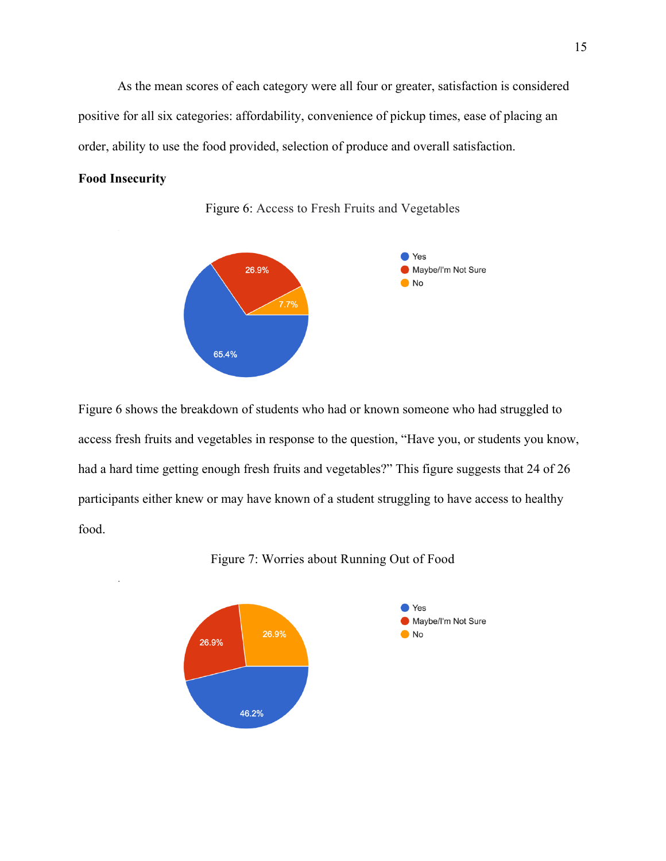As the mean scores of each category were all four or greater, satisfaction is considered positive for all six categories: affordability, convenience of pickup times, ease of placing an order, ability to use the food provided, selection of produce and overall satisfaction.

### **Food Insecurity**



Figure 6: Access to Fresh Fruits and Vegetables

Figure 6 shows the breakdown of students who had or known someone who had struggled to access fresh fruits and vegetables in response to the question, "Have you, or students you know, had a hard time getting enough fresh fruits and vegetables?" This figure suggests that 24 of 26 participants either knew or may have known of a student struggling to have access to healthy food.



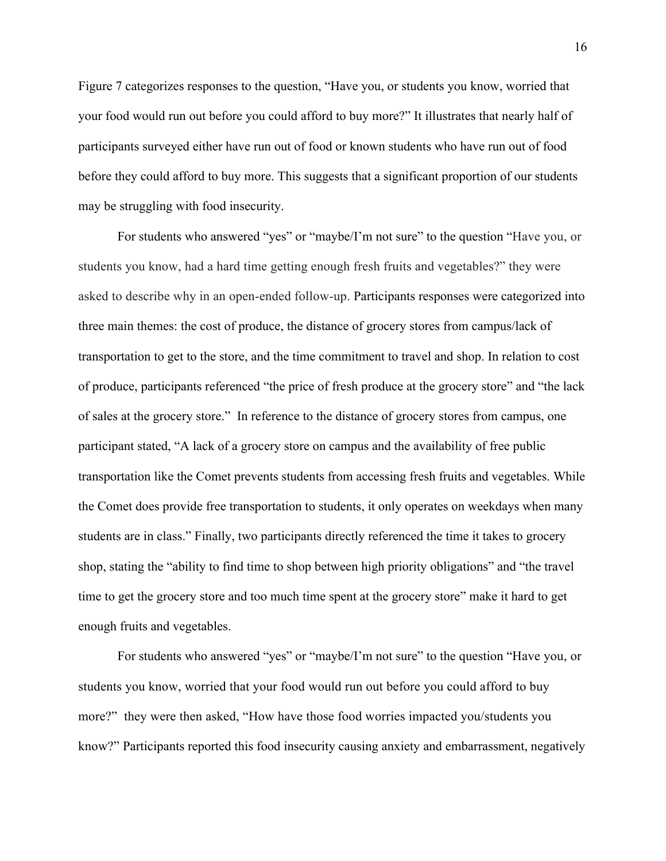Figure 7 categorizes responses to the question, "Have you, or students you know, worried that your food would run out before you could afford to buy more?" It illustrates that nearly half of participants surveyed either have run out of food or known students who have run out of food before they could afford to buy more. This suggests that a significant proportion of our students may be struggling with food insecurity.

 For students who answered "yes" or "maybe/I'm not sure" to the question "Have you, or students you know, had a hard time getting enough fresh fruits and vegetables?" they were asked to describe why in an open-ended follow-up. Participants responses were categorized into three main themes: the cost of produce, the distance of grocery stores from campus/lack of transportation to get to the store, and the time commitment to travel and shop. In relation to cost of produce, participants referenced "the price of fresh produce at the grocery store" and "the lack of sales at the grocery store." In reference to the distance of grocery stores from campus, one participant stated, "A lack of a grocery store on campus and the availability of free public transportation like the Comet prevents students from accessing fresh fruits and vegetables. While the Comet does provide free transportation to students, it only operates on weekdays when many students are in class." Finally, two participants directly referenced the time it takes to grocery shop, stating the "ability to find time to shop between high priority obligations" and "the travel time to get the grocery store and too much time spent at the grocery store" make it hard to get enough fruits and vegetables.

For students who answered "yes" or "maybe/I'm not sure" to the question "Have you, or students you know, worried that your food would run out before you could afford to buy more?" they were then asked, "How have those food worries impacted you/students you know?" Participants reported this food insecurity causing anxiety and embarrassment, negatively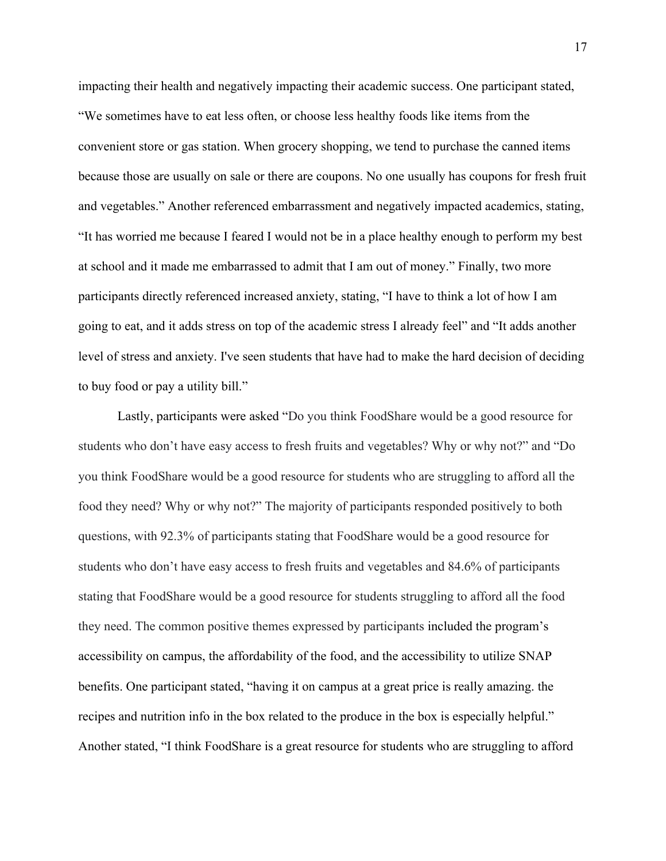impacting their health and negatively impacting their academic success. One participant stated, "We sometimes have to eat less often, or choose less healthy foods like items from the convenient store or gas station. When grocery shopping, we tend to purchase the canned items because those are usually on sale or there are coupons. No one usually has coupons for fresh fruit and vegetables." Another referenced embarrassment and negatively impacted academics, stating, "It has worried me because I feared I would not be in a place healthy enough to perform my best at school and it made me embarrassed to admit that I am out of money." Finally, two more participants directly referenced increased anxiety, stating, "I have to think a lot of how I am going to eat, and it adds stress on top of the academic stress I already feel" and "It adds another level of stress and anxiety. I've seen students that have had to make the hard decision of deciding to buy food or pay a utility bill."

 Lastly, participants were asked "Do you think FoodShare would be a good resource for students who don't have easy access to fresh fruits and vegetables? Why or why not?" and "Do you think FoodShare would be a good resource for students who are struggling to afford all the food they need? Why or why not?" The majority of participants responded positively to both questions, with 92.3% of participants stating that FoodShare would be a good resource for students who don't have easy access to fresh fruits and vegetables and 84.6% of participants stating that FoodShare would be a good resource for students struggling to afford all the food they need. The common positive themes expressed by participants included the program's accessibility on campus, the affordability of the food, and the accessibility to utilize SNAP benefits. One participant stated, "having it on campus at a great price is really amazing. the recipes and nutrition info in the box related to the produce in the box is especially helpful." Another stated, "I think FoodShare is a great resource for students who are struggling to afford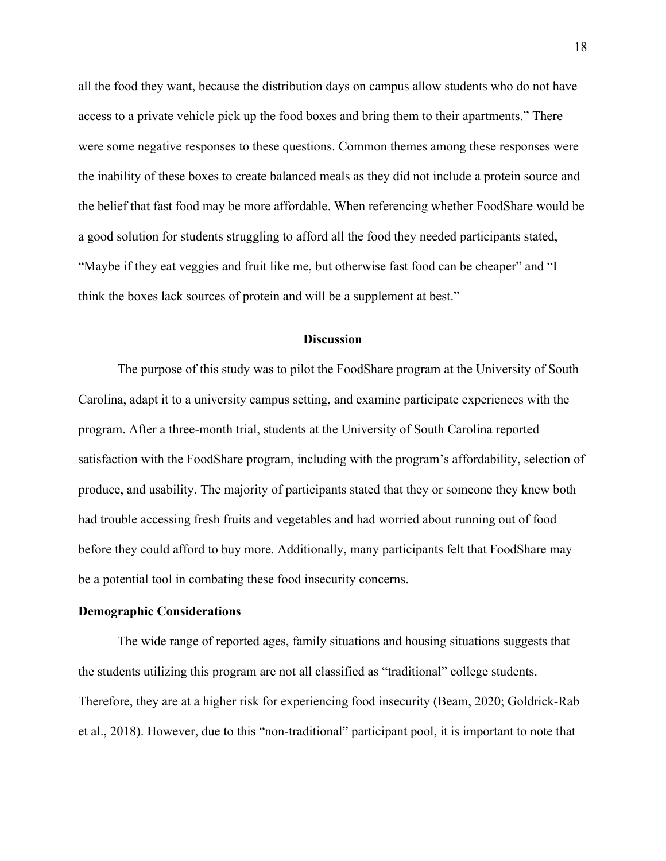all the food they want, because the distribution days on campus allow students who do not have access to a private vehicle pick up the food boxes and bring them to their apartments." There were some negative responses to these questions. Common themes among these responses were the inability of these boxes to create balanced meals as they did not include a protein source and the belief that fast food may be more affordable. When referencing whether FoodShare would be a good solution for students struggling to afford all the food they needed participants stated, "Maybe if they eat veggies and fruit like me, but otherwise fast food can be cheaper" and "I think the boxes lack sources of protein and will be a supplement at best."

#### **Discussion**

The purpose of this study was to pilot the FoodShare program at the University of South Carolina, adapt it to a university campus setting, and examine participate experiences with the program. After a three-month trial, students at the University of South Carolina reported satisfaction with the FoodShare program, including with the program's affordability, selection of produce, and usability. The majority of participants stated that they or someone they knew both had trouble accessing fresh fruits and vegetables and had worried about running out of food before they could afford to buy more. Additionally, many participants felt that FoodShare may be a potential tool in combating these food insecurity concerns.

### **Demographic Considerations**

The wide range of reported ages, family situations and housing situations suggests that the students utilizing this program are not all classified as "traditional" college students. Therefore, they are at a higher risk for experiencing food insecurity (Beam, 2020; Goldrick-Rab et al., 2018). However, due to this "non-traditional" participant pool, it is important to note that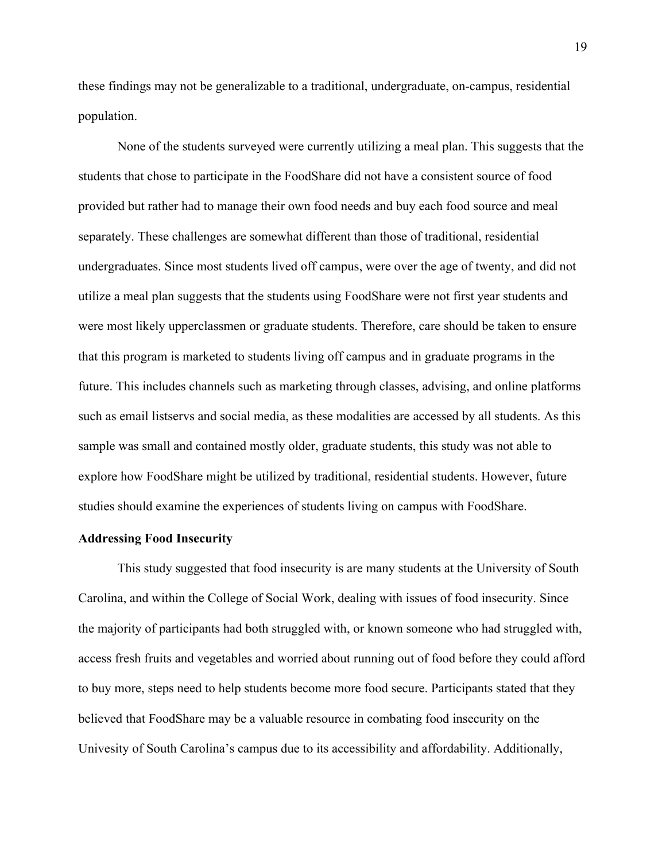these findings may not be generalizable to a traditional, undergraduate, on-campus, residential population.

None of the students surveyed were currently utilizing a meal plan. This suggests that the students that chose to participate in the FoodShare did not have a consistent source of food provided but rather had to manage their own food needs and buy each food source and meal separately. These challenges are somewhat different than those of traditional, residential undergraduates. Since most students lived off campus, were over the age of twenty, and did not utilize a meal plan suggests that the students using FoodShare were not first year students and were most likely upperclassmen or graduate students. Therefore, care should be taken to ensure that this program is marketed to students living off campus and in graduate programs in the future. This includes channels such as marketing through classes, advising, and online platforms such as email listservs and social media, as these modalities are accessed by all students. As this sample was small and contained mostly older, graduate students, this study was not able to explore how FoodShare might be utilized by traditional, residential students. However, future studies should examine the experiences of students living on campus with FoodShare.

### **Addressing Food Insecurity**

This study suggested that food insecurity is are many students at the University of South Carolina, and within the College of Social Work, dealing with issues of food insecurity. Since the majority of participants had both struggled with, or known someone who had struggled with, access fresh fruits and vegetables and worried about running out of food before they could afford to buy more, steps need to help students become more food secure. Participants stated that they believed that FoodShare may be a valuable resource in combating food insecurity on the Univesity of South Carolina's campus due to its accessibility and affordability. Additionally,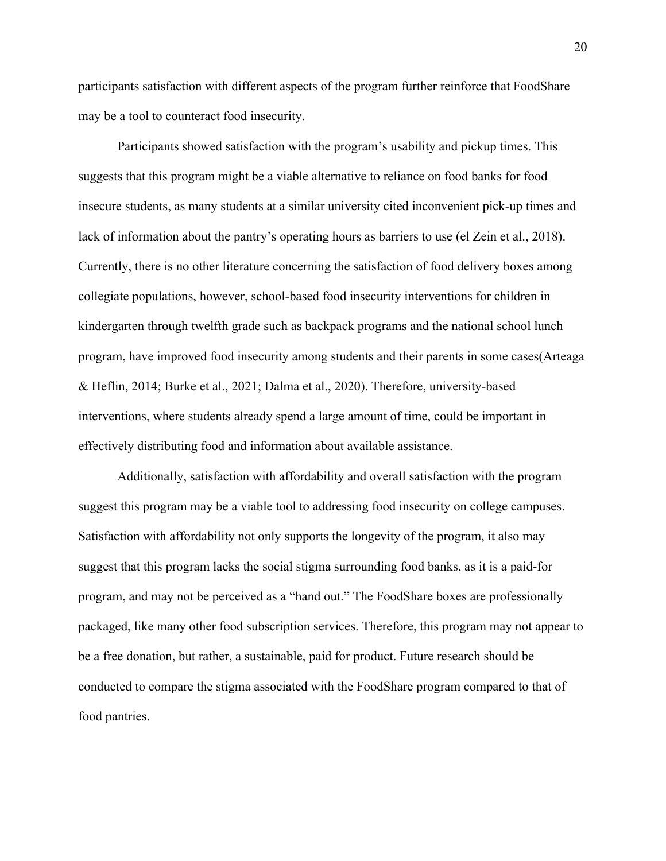participants satisfaction with different aspects of the program further reinforce that FoodShare may be a tool to counteract food insecurity.

Participants showed satisfaction with the program's usability and pickup times. This suggests that this program might be a viable alternative to reliance on food banks for food insecure students, as many students at a similar university cited inconvenient pick-up times and lack of information about the pantry's operating hours as barriers to use (el Zein et al., 2018). Currently, there is no other literature concerning the satisfaction of food delivery boxes among collegiate populations, however, school-based food insecurity interventions for children in kindergarten through twelfth grade such as backpack programs and the national school lunch program, have improved food insecurity among students and their parents in some cases(Arteaga & Heflin, 2014; Burke et al., 2021; Dalma et al., 2020). Therefore, university-based interventions, where students already spend a large amount of time, could be important in effectively distributing food and information about available assistance.

Additionally, satisfaction with affordability and overall satisfaction with the program suggest this program may be a viable tool to addressing food insecurity on college campuses. Satisfaction with affordability not only supports the longevity of the program, it also may suggest that this program lacks the social stigma surrounding food banks, as it is a paid-for program, and may not be perceived as a "hand out." The FoodShare boxes are professionally packaged, like many other food subscription services. Therefore, this program may not appear to be a free donation, but rather, a sustainable, paid for product. Future research should be conducted to compare the stigma associated with the FoodShare program compared to that of food pantries.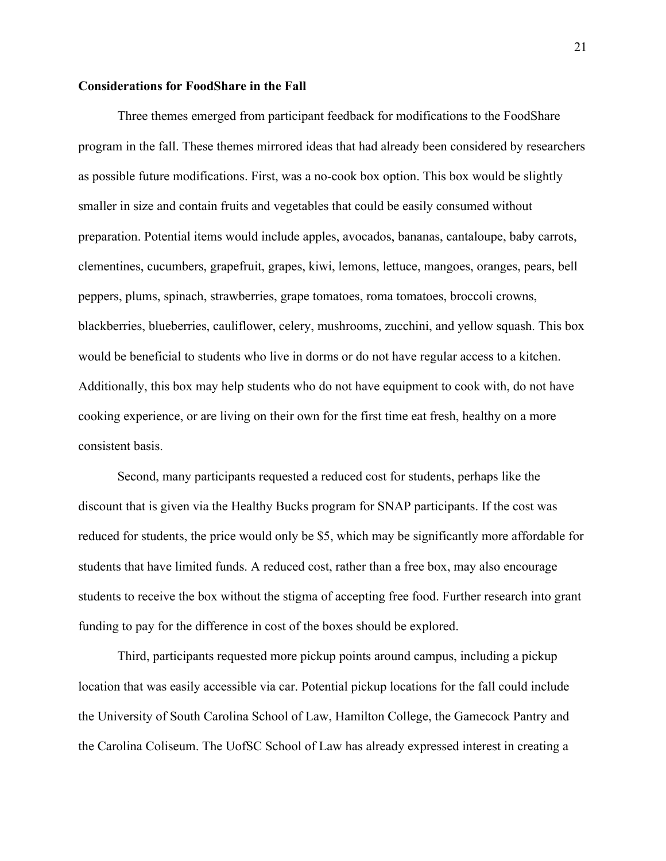### **Considerations for FoodShare in the Fall**

Three themes emerged from participant feedback for modifications to the FoodShare program in the fall. These themes mirrored ideas that had already been considered by researchers as possible future modifications. First, was a no-cook box option. This box would be slightly smaller in size and contain fruits and vegetables that could be easily consumed without preparation. Potential items would include apples, avocados, bananas, cantaloupe, baby carrots, clementines, cucumbers, grapefruit, grapes, kiwi, lemons, lettuce, mangoes, oranges, pears, bell peppers, plums, spinach, strawberries, grape tomatoes, roma tomatoes, broccoli crowns, blackberries, blueberries, cauliflower, celery, mushrooms, zucchini, and yellow squash. This box would be beneficial to students who live in dorms or do not have regular access to a kitchen. Additionally, this box may help students who do not have equipment to cook with, do not have cooking experience, or are living on their own for the first time eat fresh, healthy on a more consistent basis.

 Second, many participants requested a reduced cost for students, perhaps like the discount that is given via the Healthy Bucks program for SNAP participants. If the cost was reduced for students, the price would only be \$5, which may be significantly more affordable for students that have limited funds. A reduced cost, rather than a free box, may also encourage students to receive the box without the stigma of accepting free food. Further research into grant funding to pay for the difference in cost of the boxes should be explored.

 Third, participants requested more pickup points around campus, including a pickup location that was easily accessible via car. Potential pickup locations for the fall could include the University of South Carolina School of Law, Hamilton College, the Gamecock Pantry and the Carolina Coliseum. The UofSC School of Law has already expressed interest in creating a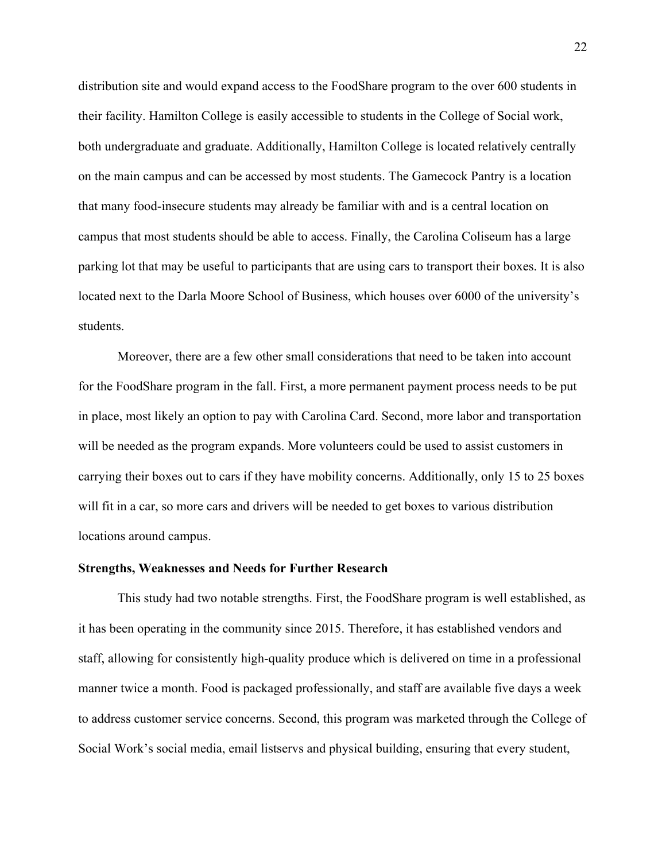distribution site and would expand access to the FoodShare program to the over 600 students in their facility. Hamilton College is easily accessible to students in the College of Social work, both undergraduate and graduate. Additionally, Hamilton College is located relatively centrally on the main campus and can be accessed by most students. The Gamecock Pantry is a location that many food-insecure students may already be familiar with and is a central location on campus that most students should be able to access. Finally, the Carolina Coliseum has a large parking lot that may be useful to participants that are using cars to transport their boxes. It is also located next to the Darla Moore School of Business, which houses over 6000 of the university's students.

 Moreover, there are a few other small considerations that need to be taken into account for the FoodShare program in the fall. First, a more permanent payment process needs to be put in place, most likely an option to pay with Carolina Card. Second, more labor and transportation will be needed as the program expands. More volunteers could be used to assist customers in carrying their boxes out to cars if they have mobility concerns. Additionally, only 15 to 25 boxes will fit in a car, so more cars and drivers will be needed to get boxes to various distribution locations around campus.

### **Strengths, Weaknesses and Needs for Further Research**

This study had two notable strengths. First, the FoodShare program is well established, as it has been operating in the community since 2015. Therefore, it has established vendors and staff, allowing for consistently high-quality produce which is delivered on time in a professional manner twice a month. Food is packaged professionally, and staff are available five days a week to address customer service concerns. Second, this program was marketed through the College of Social Work's social media, email listservs and physical building, ensuring that every student,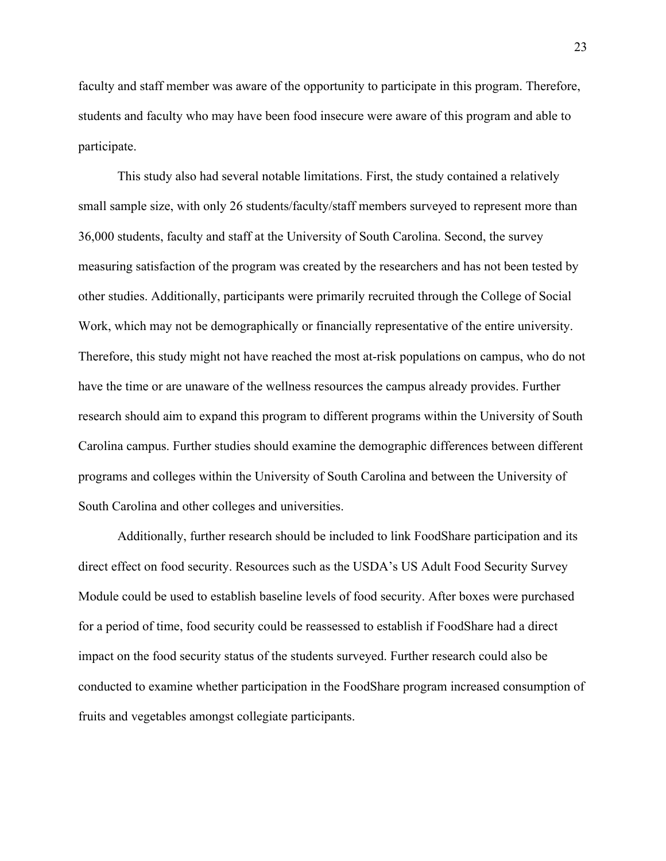faculty and staff member was aware of the opportunity to participate in this program. Therefore, students and faculty who may have been food insecure were aware of this program and able to participate.

This study also had several notable limitations. First, the study contained a relatively small sample size, with only 26 students/faculty/staff members surveyed to represent more than 36,000 students, faculty and staff at the University of South Carolina. Second, the survey measuring satisfaction of the program was created by the researchers and has not been tested by other studies. Additionally, participants were primarily recruited through the College of Social Work, which may not be demographically or financially representative of the entire university. Therefore, this study might not have reached the most at-risk populations on campus, who do not have the time or are unaware of the wellness resources the campus already provides. Further research should aim to expand this program to different programs within the University of South Carolina campus. Further studies should examine the demographic differences between different programs and colleges within the University of South Carolina and between the University of South Carolina and other colleges and universities.

Additionally, further research should be included to link FoodShare participation and its direct effect on food security. Resources such as the USDA's US Adult Food Security Survey Module could be used to establish baseline levels of food security. After boxes were purchased for a period of time, food security could be reassessed to establish if FoodShare had a direct impact on the food security status of the students surveyed. Further research could also be conducted to examine whether participation in the FoodShare program increased consumption of fruits and vegetables amongst collegiate participants.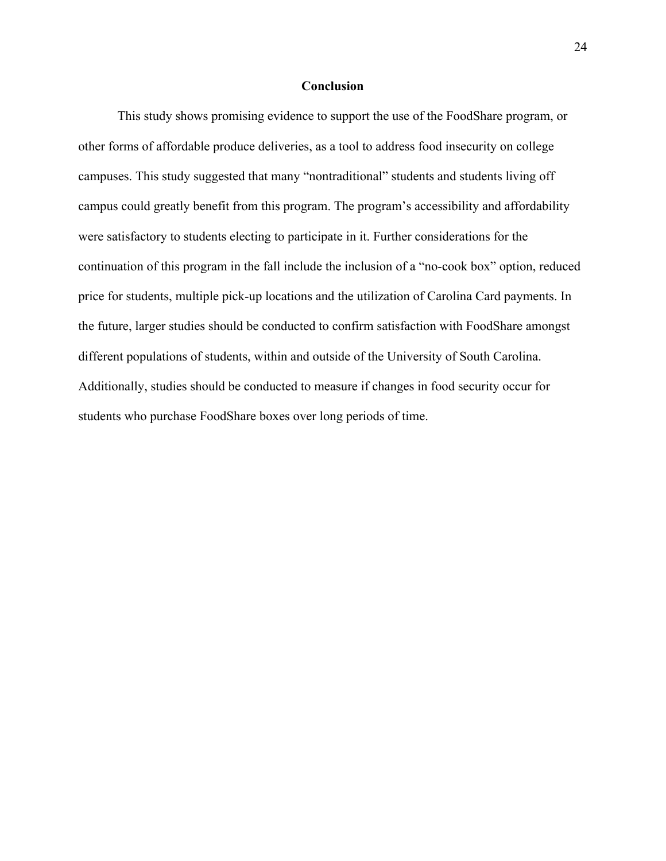#### **Conclusion**

 This study shows promising evidence to support the use of the FoodShare program, or other forms of affordable produce deliveries, as a tool to address food insecurity on college campuses. This study suggested that many "nontraditional" students and students living off campus could greatly benefit from this program. The program's accessibility and affordability were satisfactory to students electing to participate in it. Further considerations for the continuation of this program in the fall include the inclusion of a "no-cook box" option, reduced price for students, multiple pick-up locations and the utilization of Carolina Card payments. In the future, larger studies should be conducted to confirm satisfaction with FoodShare amongst different populations of students, within and outside of the University of South Carolina. Additionally, studies should be conducted to measure if changes in food security occur for students who purchase FoodShare boxes over long periods of time.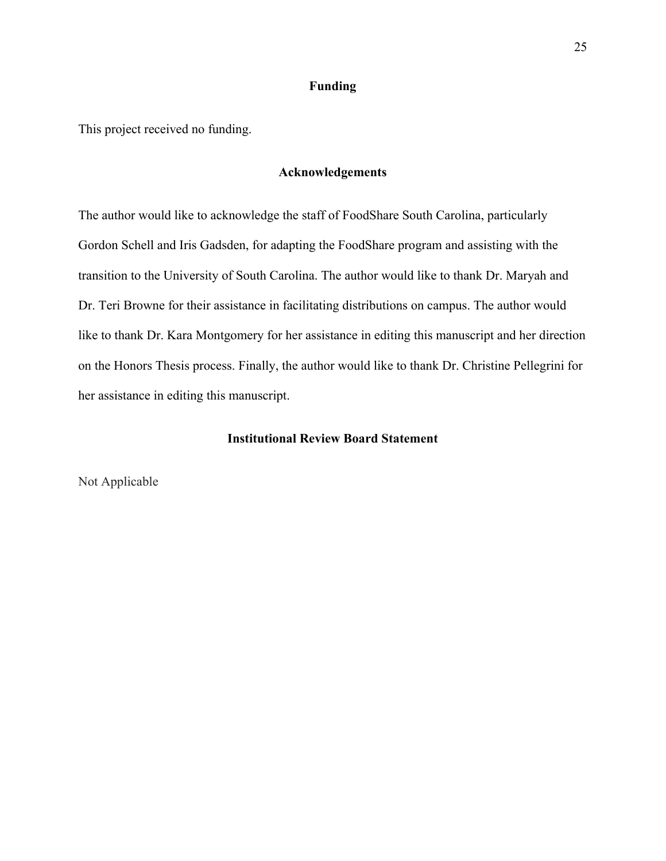### **Funding**

This project received no funding.

### **Acknowledgements**

The author would like to acknowledge the staff of FoodShare South Carolina, particularly Gordon Schell and Iris Gadsden, for adapting the FoodShare program and assisting with the transition to the University of South Carolina. The author would like to thank Dr. Maryah and Dr. Teri Browne for their assistance in facilitating distributions on campus. The author would like to thank Dr. Kara Montgomery for her assistance in editing this manuscript and her direction on the Honors Thesis process. Finally, the author would like to thank Dr. Christine Pellegrini for her assistance in editing this manuscript.

## **Institutional Review Board Statement**

Not Applicable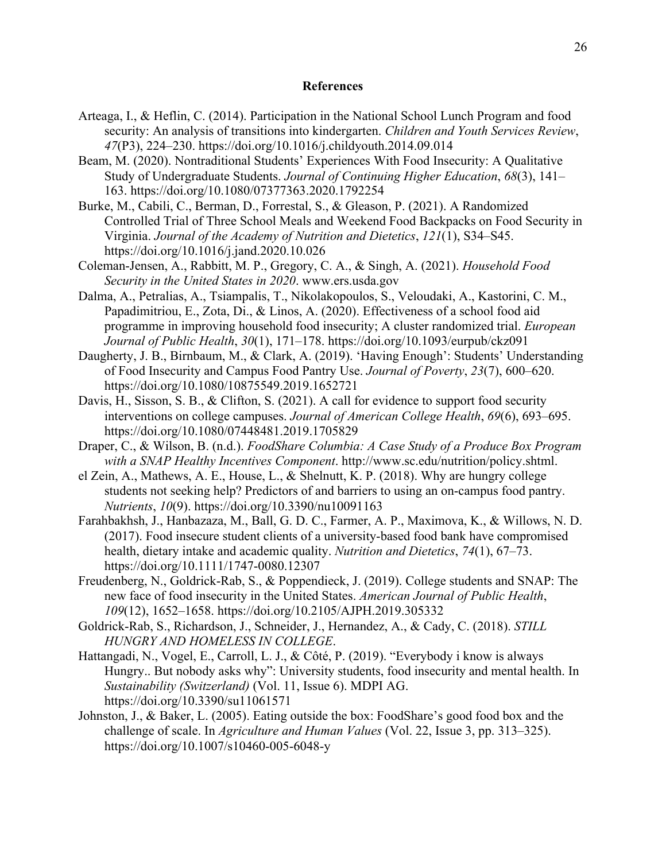#### **References**

- Arteaga, I., & Heflin, C. (2014). Participation in the National School Lunch Program and food security: An analysis of transitions into kindergarten. *Children and Youth Services Review*, *47*(P3), 224–230. https://doi.org/10.1016/j.childyouth.2014.09.014
- Beam, M. (2020). Nontraditional Students' Experiences With Food Insecurity: A Qualitative Study of Undergraduate Students. *Journal of Continuing Higher Education*, *68*(3), 141– 163. https://doi.org/10.1080/07377363.2020.1792254
- Burke, M., Cabili, C., Berman, D., Forrestal, S., & Gleason, P. (2021). A Randomized Controlled Trial of Three School Meals and Weekend Food Backpacks on Food Security in Virginia. *Journal of the Academy of Nutrition and Dietetics*, *121*(1), S34–S45. https://doi.org/10.1016/j.jand.2020.10.026
- Coleman-Jensen, A., Rabbitt, M. P., Gregory, C. A., & Singh, A. (2021). *Household Food Security in the United States in 2020*. www.ers.usda.gov
- Dalma, A., Petralias, A., Tsiampalis, T., Nikolakopoulos, S., Veloudaki, A., Kastorini, C. M., Papadimitriou, E., Zota, Di., & Linos, A. (2020). Effectiveness of a school food aid programme in improving household food insecurity; A cluster randomized trial. *European Journal of Public Health*, *30*(1), 171–178. https://doi.org/10.1093/eurpub/ckz091
- Daugherty, J. B., Birnbaum, M., & Clark, A. (2019). 'Having Enough': Students' Understanding of Food Insecurity and Campus Food Pantry Use. *Journal of Poverty*, *23*(7), 600–620. https://doi.org/10.1080/10875549.2019.1652721
- Davis, H., Sisson, S. B., & Clifton, S. (2021). A call for evidence to support food security interventions on college campuses. *Journal of American College Health*, *69*(6), 693–695. https://doi.org/10.1080/07448481.2019.1705829
- Draper, C., & Wilson, B. (n.d.). *FoodShare Columbia: A Case Study of a Produce Box Program with a SNAP Healthy Incentives Component*. http://www.sc.edu/nutrition/policy.shtml.
- el Zein, A., Mathews, A. E., House, L., & Shelnutt, K. P. (2018). Why are hungry college students not seeking help? Predictors of and barriers to using an on-campus food pantry. *Nutrients*, *10*(9). https://doi.org/10.3390/nu10091163
- Farahbakhsh, J., Hanbazaza, M., Ball, G. D. C., Farmer, A. P., Maximova, K., & Willows, N. D. (2017). Food insecure student clients of a university-based food bank have compromised health, dietary intake and academic quality. *Nutrition and Dietetics*, *74*(1), 67–73. https://doi.org/10.1111/1747-0080.12307
- Freudenberg, N., Goldrick-Rab, S., & Poppendieck, J. (2019). College students and SNAP: The new face of food insecurity in the United States. *American Journal of Public Health*, *109*(12), 1652–1658. https://doi.org/10.2105/AJPH.2019.305332
- Goldrick-Rab, S., Richardson, J., Schneider, J., Hernandez, A., & Cady, C. (2018). *STILL HUNGRY AND HOMELESS IN COLLEGE*.
- Hattangadi, N., Vogel, E., Carroll, L. J., & Côté, P. (2019). "Everybody i know is always Hungry.. But nobody asks why": University students, food insecurity and mental health. In *Sustainability (Switzerland)* (Vol. 11, Issue 6). MDPI AG. https://doi.org/10.3390/su11061571
- Johnston, J., & Baker, L. (2005). Eating outside the box: FoodShare's good food box and the challenge of scale. In *Agriculture and Human Values* (Vol. 22, Issue 3, pp. 313–325). https://doi.org/10.1007/s10460-005-6048-y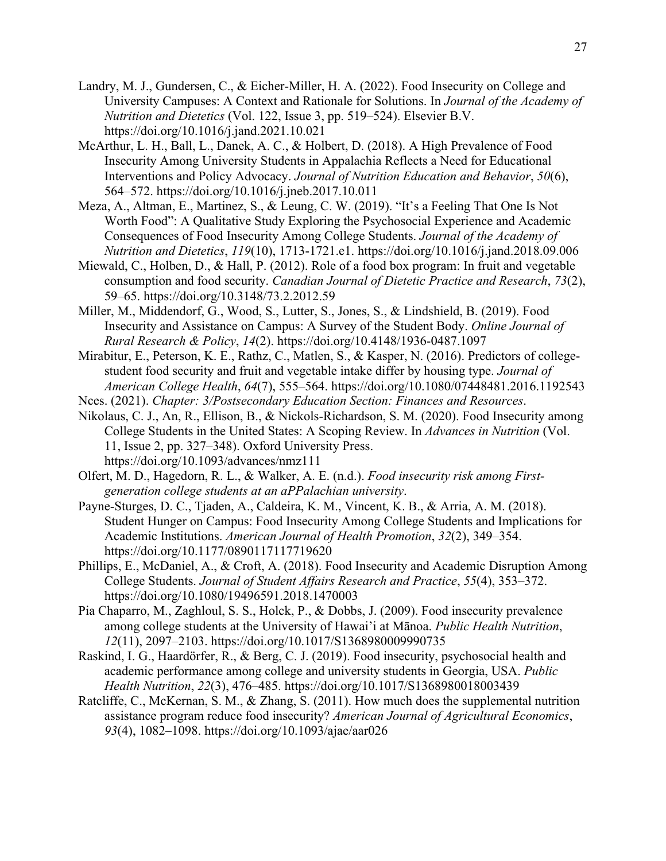- Landry, M. J., Gundersen, C., & Eicher-Miller, H. A. (2022). Food Insecurity on College and University Campuses: A Context and Rationale for Solutions. In *Journal of the Academy of Nutrition and Dietetics* (Vol. 122, Issue 3, pp. 519–524). Elsevier B.V. https://doi.org/10.1016/j.jand.2021.10.021
- McArthur, L. H., Ball, L., Danek, A. C., & Holbert, D. (2018). A High Prevalence of Food Insecurity Among University Students in Appalachia Reflects a Need for Educational Interventions and Policy Advocacy. *Journal of Nutrition Education and Behavior*, *50*(6), 564–572. https://doi.org/10.1016/j.jneb.2017.10.011
- Meza, A., Altman, E., Martinez, S., & Leung, C. W. (2019). "It's a Feeling That One Is Not Worth Food": A Qualitative Study Exploring the Psychosocial Experience and Academic Consequences of Food Insecurity Among College Students. *Journal of the Academy of Nutrition and Dietetics*, *119*(10), 1713-1721.e1. https://doi.org/10.1016/j.jand.2018.09.006
- Miewald, C., Holben, D., & Hall, P. (2012). Role of a food box program: In fruit and vegetable consumption and food security. *Canadian Journal of Dietetic Practice and Research*, *73*(2), 59–65. https://doi.org/10.3148/73.2.2012.59
- Miller, M., Middendorf, G., Wood, S., Lutter, S., Jones, S., & Lindshield, B. (2019). Food Insecurity and Assistance on Campus: A Survey of the Student Body. *Online Journal of Rural Research & Policy*, *14*(2). https://doi.org/10.4148/1936-0487.1097
- Mirabitur, E., Peterson, K. E., Rathz, C., Matlen, S., & Kasper, N. (2016). Predictors of collegestudent food security and fruit and vegetable intake differ by housing type. *Journal of American College Health*, *64*(7), 555–564. https://doi.org/10.1080/07448481.2016.1192543
- Nces. (2021). *Chapter: 3/Postsecondary Education Section: Finances and Resources*.
- Nikolaus, C. J., An, R., Ellison, B., & Nickols-Richardson, S. M. (2020). Food Insecurity among College Students in the United States: A Scoping Review. In *Advances in Nutrition* (Vol. 11, Issue 2, pp. 327–348). Oxford University Press. https://doi.org/10.1093/advances/nmz111
- Olfert, M. D., Hagedorn, R. L., & Walker, A. E. (n.d.). *Food insecurity risk among Firstgeneration college students at an aPPalachian university*.
- Payne-Sturges, D. C., Tjaden, A., Caldeira, K. M., Vincent, K. B., & Arria, A. M. (2018). Student Hunger on Campus: Food Insecurity Among College Students and Implications for Academic Institutions. *American Journal of Health Promotion*, *32*(2), 349–354. https://doi.org/10.1177/0890117117719620
- Phillips, E., McDaniel, A., & Croft, A. (2018). Food Insecurity and Academic Disruption Among College Students. *Journal of Student Affairs Research and Practice*, *55*(4), 353–372. https://doi.org/10.1080/19496591.2018.1470003
- Pia Chaparro, M., Zaghloul, S. S., Holck, P., & Dobbs, J. (2009). Food insecurity prevalence among college students at the University of Hawai'i at Mānoa. *Public Health Nutrition*, *12*(11), 2097–2103. https://doi.org/10.1017/S1368980009990735
- Raskind, I. G., Haardörfer, R., & Berg, C. J. (2019). Food insecurity, psychosocial health and academic performance among college and university students in Georgia, USA. *Public Health Nutrition*, *22*(3), 476–485. https://doi.org/10.1017/S1368980018003439
- Ratcliffe, C., McKernan, S. M., & Zhang, S. (2011). How much does the supplemental nutrition assistance program reduce food insecurity? *American Journal of Agricultural Economics*, *93*(4), 1082–1098. https://doi.org/10.1093/ajae/aar026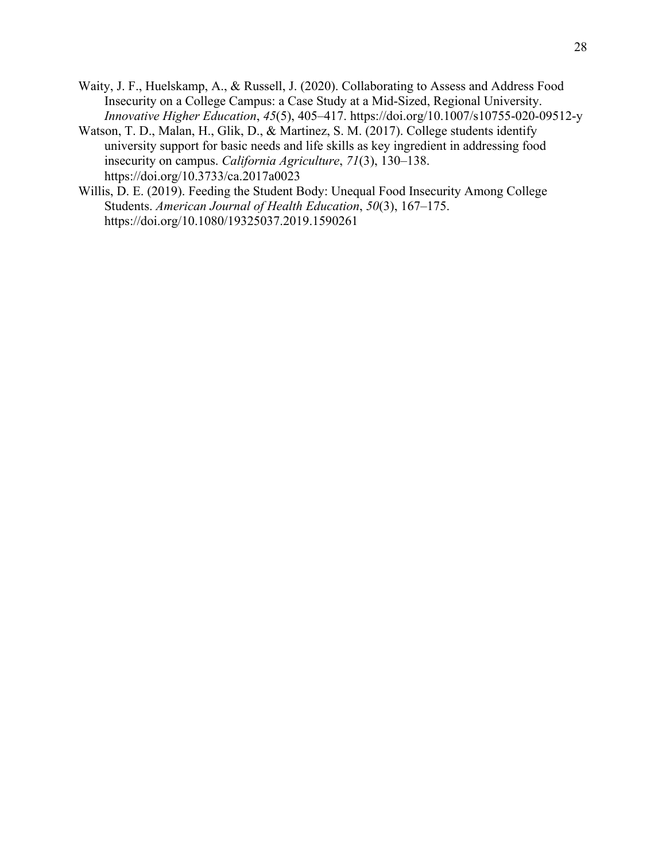- Waity, J. F., Huelskamp, A., & Russell, J. (2020). Collaborating to Assess and Address Food Insecurity on a College Campus: a Case Study at a Mid-Sized, Regional University. *Innovative Higher Education*, *45*(5), 405–417. https://doi.org/10.1007/s10755-020-09512-y
- Watson, T. D., Malan, H., Glik, D., & Martinez, S. M. (2017). College students identify university support for basic needs and life skills as key ingredient in addressing food insecurity on campus. *California Agriculture*, *71*(3), 130–138. https://doi.org/10.3733/ca.2017a0023
- Willis, D. E. (2019). Feeding the Student Body: Unequal Food Insecurity Among College Students. *American Journal of Health Education*, *50*(3), 167–175. https://doi.org/10.1080/19325037.2019.1590261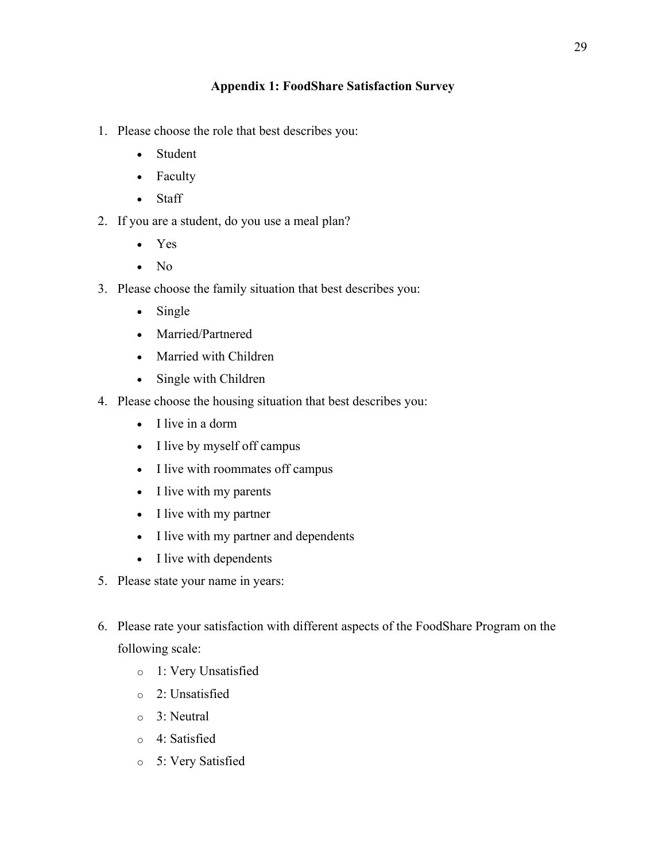# **Appendix 1: FoodShare Satisfaction Survey**

- 1. Please choose the role that best describes you:
	- Student
	- Faculty
	- Staff
- 2. If you are a student, do you use a meal plan?
	- Yes
	- No
- 3. Please choose the family situation that best describes you:
	- Single
	- Married/Partnered
	- Married with Children
	- Single with Children
- 4. Please choose the housing situation that best describes you:
	- I live in a dorm
	- I live by myself off campus
	- I live with roommates off campus
	- I live with my parents
	- I live with my partner
	- I live with my partner and dependents
	- I live with dependents
- 5. Please state your name in years:
- 6. Please rate your satisfaction with different aspects of the FoodShare Program on the following scale:
	- o 1: Very Unsatisfied
	- o 2: Unsatisfied
	- o 3: Neutral
	- o 4: Satisfied
	- o 5: Very Satisfied